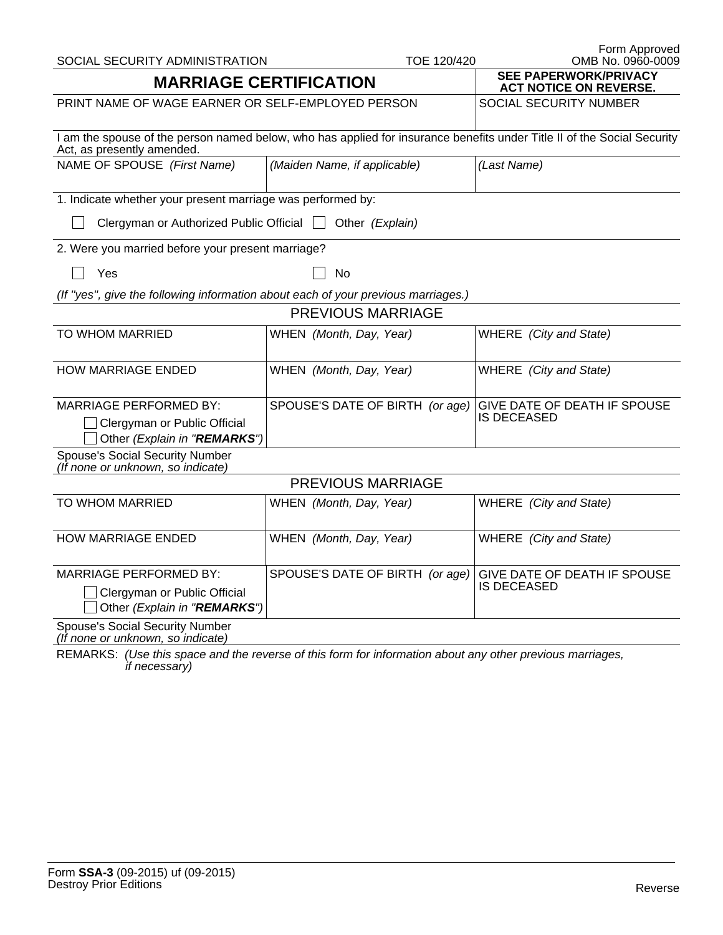| SOCIAL SECURITY ADMINISTRATION                                                                                                                        | TOE 120/420                                                   | Form Approved<br>OMB No. 0960-0009          |  |  |  |  |
|-------------------------------------------------------------------------------------------------------------------------------------------------------|---------------------------------------------------------------|---------------------------------------------|--|--|--|--|
| <b>MARRIAGE CERTIFICATION</b>                                                                                                                         | <b>SEE PAPERWORK/PRIVACY</b><br><b>ACT NOTICE ON REVERSE.</b> |                                             |  |  |  |  |
| PRINT NAME OF WAGE EARNER OR SELF-EMPLOYED PERSON                                                                                                     | SOCIAL SECURITY NUMBER                                        |                                             |  |  |  |  |
| I am the spouse of the person named below, who has applied for insurance benefits under Title II of the Social Security<br>Act, as presently amended. |                                                               |                                             |  |  |  |  |
| NAME OF SPOUSE (First Name)                                                                                                                           | (Maiden Name, if applicable)                                  | (Last Name)                                 |  |  |  |  |
| 1. Indicate whether your present marriage was performed by:                                                                                           |                                                               |                                             |  |  |  |  |
| Clergyman or Authorized Public Official<br>Other (Explain)                                                                                            |                                                               |                                             |  |  |  |  |
| 2. Were you married before your present marriage?                                                                                                     |                                                               |                                             |  |  |  |  |
| Yes                                                                                                                                                   | <b>No</b>                                                     |                                             |  |  |  |  |
| (If "yes", give the following information about each of your previous marriages.)                                                                     |                                                               |                                             |  |  |  |  |
| PREVIOUS MARRIAGE                                                                                                                                     |                                                               |                                             |  |  |  |  |
| TO WHOM MARRIED                                                                                                                                       | WHEN (Month, Day, Year)                                       | WHERE (City and State)                      |  |  |  |  |
| <b>HOW MARRIAGE ENDED</b>                                                                                                                             | WHEN (Month, Day, Year)                                       | WHERE (City and State)                      |  |  |  |  |
| <b>MARRIAGE PERFORMED BY:</b>                                                                                                                         | SPOUSE'S DATE OF BIRTH (or age)                               | GIVE DATE OF DEATH IF SPOUSE                |  |  |  |  |
| Clergyman or Public Official<br>Other (Explain in "REMARKS")                                                                                          |                                                               | IS DECEASED                                 |  |  |  |  |
| <b>Spouse's Social Security Number</b><br>(If none or unknown, so indicate)                                                                           |                                                               |                                             |  |  |  |  |
| <b>PREVIOUS MARRIAGE</b>                                                                                                                              |                                                               |                                             |  |  |  |  |
| TO WHOM MARRIED                                                                                                                                       | WHEN (Month, Day, Year)                                       | WHERE (City and State)                      |  |  |  |  |
| <b>HOW MARRIAGE ENDED</b>                                                                                                                             | WHEN (Month, Day, Year)                                       | WHERE (City and State)                      |  |  |  |  |
| <b>MARRIAGE PERFORMED BY:</b><br>Clergyman or Public Official<br>Other (Explain in "REMARKS")                                                         | SPOUSE'S DATE OF BIRTH (or age)                               | GIVE DATE OF DEATH IF SPOUSE<br>IS DECEASED |  |  |  |  |
| <b>Spouse's Social Security Number</b><br>(If none or unknown, so indicate)                                                                           |                                                               |                                             |  |  |  |  |

REMARKS: *(Use this space and the reverse of this form for information about any other previous marriages, if necessary)*